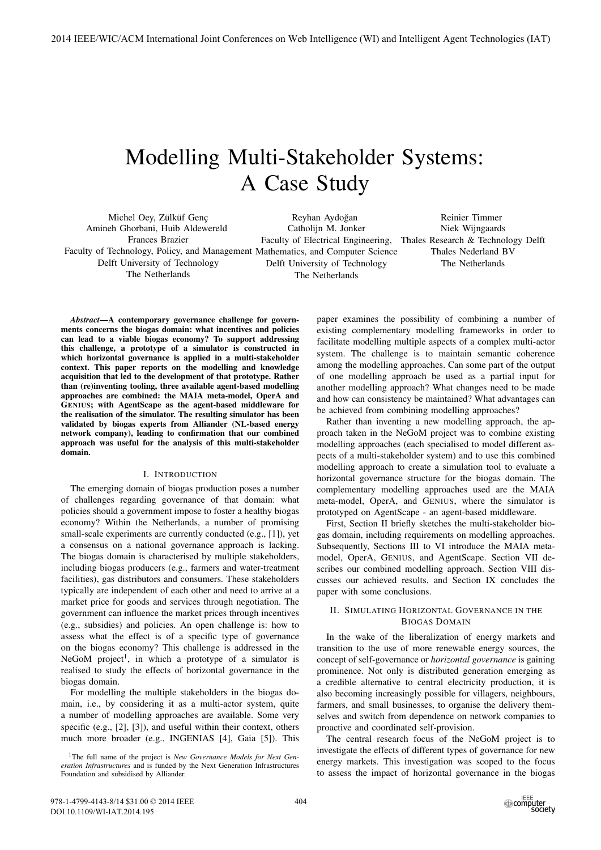# Modelling Multi-Stakeholder Systems: A Case Study

Michel Oev, Zülküf Genc Amineh Ghorbani, Huib Aldewereld Frances Brazier Faculty of Technology, Policy, and Management Mathematics, and Computer Science Delft University of Technology The Netherlands Reyhan Aydoğan Catholijn M. Jonker Faculty of Electrical Engineering, Thales Research & Technology Delft Delft University of Technology The Netherlands Reinier Timmer Niek Wijngaards Thales Nederland BV The Netherlands

*Abstract*—A contemporary governance challenge for governments concerns the biogas domain: what incentives and policies can lead to a viable biogas economy? To support addressing this challenge, a prototype of a simulator is constructed in which horizontal governance is applied in a multi-stakeholder context. This paper reports on the modelling and knowledge acquisition that led to the development of that prototype. Rather than (re)inventing tooling, three available agent-based modelling approaches are combined: the MAIA meta-model, OperA and GENIUS; with AgentScape as the agent-based middleware for the realisation of the simulator. The resulting simulator has been validated by biogas experts from Alliander (NL-based energy network company), leading to confirmation that our combined approach was useful for the analysis of this multi-stakeholder domain.

## I. INTRODUCTION

The emerging domain of biogas production poses a number of challenges regarding governance of that domain: what policies should a government impose to foster a healthy biogas economy? Within the Netherlands, a number of promising small-scale experiments are currently conducted (e.g., [1]), yet a consensus on a national governance approach is lacking. The biogas domain is characterised by multiple stakeholders, including biogas producers (e.g., farmers and water-treatment facilities), gas distributors and consumers. These stakeholders typically are independent of each other and need to arrive at a market price for goods and services through negotiation. The government can influence the market prices through incentives (e.g., subsidies) and policies. An open challenge is: how to assess what the effect is of a specific type of governance on the biogas economy? This challenge is addressed in the  $NeGoM$  project<sup>1</sup>, in which a prototype of a simulator is realised to study the effects of horizontal governance in the biogas domain.

For modelling the multiple stakeholders in the biogas domain, i.e., by considering it as a multi-actor system, quite a number of modelling approaches are available. Some very specific (e.g., [2], [3]), and useful within their context, others much more broader (e.g., INGENIAS [4], Gaia [5]). This

<sup>1</sup>The full name of the project is *New Governance Models for Next Generation Infrastructures* and is funded by the Next Generation Infrastructures Foundation and subsidised by Alliander.

paper examines the possibility of combining a number of existing complementary modelling frameworks in order to facilitate modelling multiple aspects of a complex multi-actor system. The challenge is to maintain semantic coherence among the modelling approaches. Can some part of the output of one modelling approach be used as a partial input for another modelling approach? What changes need to be made and how can consistency be maintained? What advantages can be achieved from combining modelling approaches?

Rather than inventing a new modelling approach, the approach taken in the NeGoM project was to combine existing modelling approaches (each specialised to model different aspects of a multi-stakeholder system) and to use this combined modelling approach to create a simulation tool to evaluate a horizontal governance structure for the biogas domain. The complementary modelling approaches used are the MAIA meta-model, OperA, and GENIUS, where the simulator is prototyped on AgentScape - an agent-based middleware.

First, Section II briefly sketches the multi-stakeholder biogas domain, including requirements on modelling approaches. Subsequently, Sections III to VI introduce the MAIA metamodel, OperA, GENIUS, and AgentScape. Section VII describes our combined modelling approach. Section VIII discusses our achieved results, and Section IX concludes the paper with some conclusions.

# II. SIMULATING HORIZONTAL GOVERNANCE IN THE BIOGAS DOMAIN

In the wake of the liberalization of energy markets and transition to the use of more renewable energy sources, the concept of self-governance or *horizontal governance* is gaining prominence. Not only is distributed generation emerging as a credible alternative to central electricity production, it is also becoming increasingly possible for villagers, neighbours, farmers, and small businesses, to organise the delivery themselves and switch from dependence on network companies to proactive and coordinated self-provision.

The central research focus of the NeGoM project is to investigate the effects of different types of governance for new energy markets. This investigation was scoped to the focus to assess the impact of horizontal governance in the biogas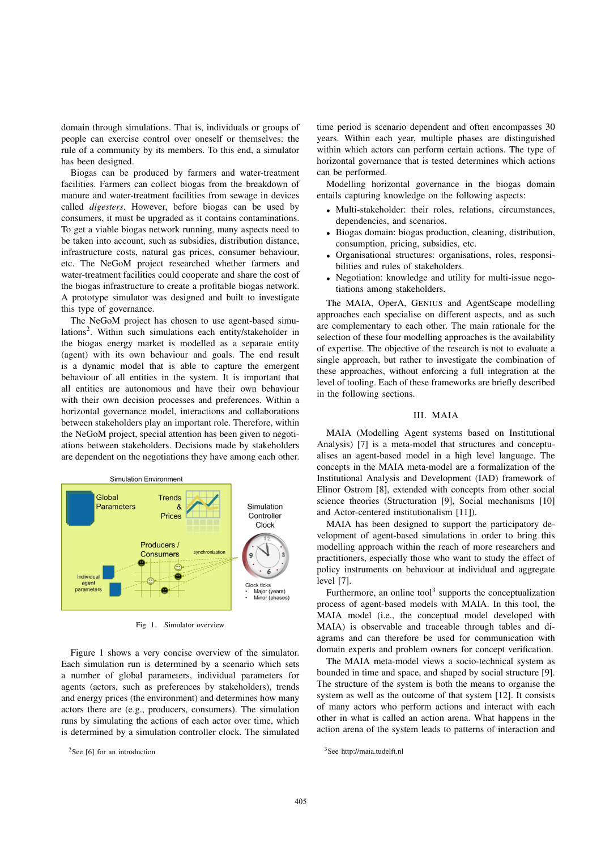domain through simulations. That is, individuals or groups of people can exercise control over oneself or themselves: the rule of a community by its members. To this end, a simulator has been designed.

Biogas can be produced by farmers and water-treatment facilities. Farmers can collect biogas from the breakdown of manure and water-treatment facilities from sewage in devices called *digesters*. However, before biogas can be used by consumers, it must be upgraded as it contains contaminations. To get a viable biogas network running, many aspects need to be taken into account, such as subsidies, distribution distance, infrastructure costs, natural gas prices, consumer behaviour, etc. The NeGoM project researched whether farmers and water-treatment facilities could cooperate and share the cost of the biogas infrastructure to create a profitable biogas network. A prototype simulator was designed and built to investigate this type of governance.

The NeGoM project has chosen to use agent-based simulations2. Within such simulations each entity/stakeholder in the biogas energy market is modelled as a separate entity (agent) with its own behaviour and goals. The end result is a dynamic model that is able to capture the emergent behaviour of all entities in the system. It is important that all entities are autonomous and have their own behaviour with their own decision processes and preferences. Within a horizontal governance model, interactions and collaborations between stakeholders play an important role. Therefore, within the NeGoM project, special attention has been given to negotiations between stakeholders. Decisions made by stakeholders are dependent on the negotiations they have among each other.



Fig. 1. Simulator overview

Figure 1 shows a very concise overview of the simulator. Each simulation run is determined by a scenario which sets a number of global parameters, individual parameters for agents (actors, such as preferences by stakeholders), trends and energy prices (the environment) and determines how many actors there are (e.g., producers, consumers). The simulation runs by simulating the actions of each actor over time, which is determined by a simulation controller clock. The simulated

time period is scenario dependent and often encompasses 30 years. Within each year, multiple phases are distinguished within which actors can perform certain actions. The type of horizontal governance that is tested determines which actions can be performed.

Modelling horizontal governance in the biogas domain entails capturing knowledge on the following aspects:

- Multi-stakeholder: their roles, relations, circumstances, dependencies, and scenarios.
- Biogas domain: biogas production, cleaning, distribution, consumption, pricing, subsidies, etc.
- Organisational structures: organisations, roles, responsibilities and rules of stakeholders.
- Negotiation: knowledge and utility for multi-issue negotiations among stakeholders.

The MAIA, OperA, GENIUS and AgentScape modelling approaches each specialise on different aspects, and as such are complementary to each other. The main rationale for the selection of these four modelling approaches is the availability of expertise. The objective of the research is not to evaluate a single approach, but rather to investigate the combination of these approaches, without enforcing a full integration at the level of tooling. Each of these frameworks are briefly described in the following sections.

## III. MAIA

MAIA (Modelling Agent systems based on Institutional Analysis) [7] is a meta-model that structures and conceptualises an agent-based model in a high level language. The concepts in the MAIA meta-model are a formalization of the Institutional Analysis and Development (IAD) framework of Elinor Ostrom [8], extended with concepts from other social science theories (Structuration [9], Social mechanisms [10] and Actor-centered institutionalism [11]).

MAIA has been designed to support the participatory development of agent-based simulations in order to bring this modelling approach within the reach of more researchers and practitioners, especially those who want to study the effect of policy instruments on behaviour at individual and aggregate level [7].

Furthermore, an online tool<sup>3</sup> supports the conceptualization process of agent-based models with MAIA. In this tool, the MAIA model (i.e., the conceptual model developed with MAIA) is observable and traceable through tables and diagrams and can therefore be used for communication with domain experts and problem owners for concept verification.

The MAIA meta-model views a socio-technical system as bounded in time and space, and shaped by social structure [9]. The structure of the system is both the means to organise the system as well as the outcome of that system [12]. It consists of many actors who perform actions and interact with each other in what is called an action arena. What happens in the action arena of the system leads to patterns of interaction and

<sup>&</sup>lt;sup>2</sup>See [6] for an introduction

<sup>3</sup>See http://maia.tudelft.nl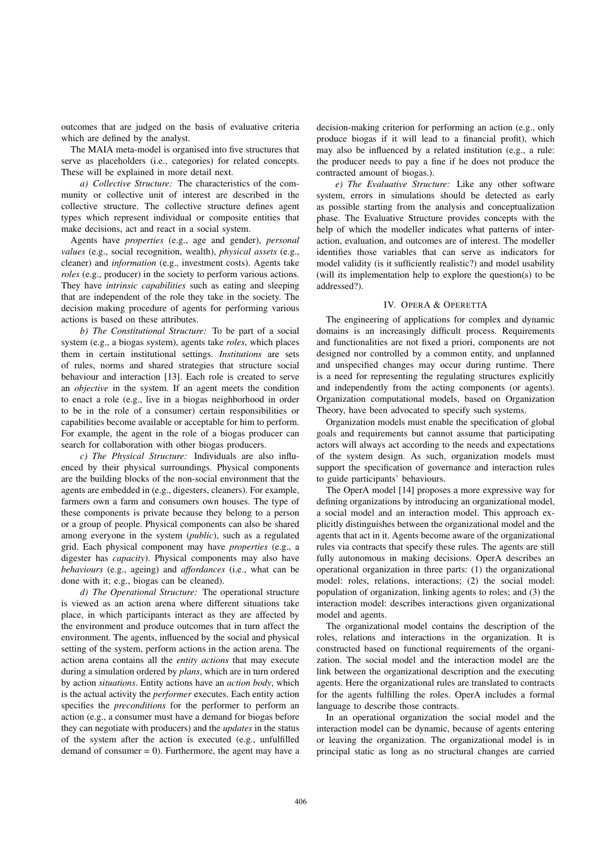outcomes that are judged on the basis of evaluative criteria which are defined by the analyst.

The MAIA meta-model is organised into five structures that serve as placeholders (i.e., categories) for related concepts. These will be explained in more detail next.

*a) Collective Structure:* The characteristics of the community or collective unit of interest are described in the collective structure. The collective structure defines agent types which represent individual or composite entities that make decisions, act and react in a social system.

Agents have *properties* (e.g., age and gender), *personal values* (e.g., social recognition, wealth), *physical assets* (e.g., cleaner) and *information* (e.g., investment costs). Agents take *roles* (e.g., producer) in the society to perform various actions. They have *intrinsic capabilities* such as eating and sleeping that are independent of the role they take in the society. The decision making procedure of agents for performing various actions is based on these attributes.

*b) The Constitutional Structure:* To be part of a social system (e.g., a biogas system), agents take *roles*, which places them in certain institutional settings. *Institutions* are sets of rules, norms and shared strategies that structure social behaviour and interaction [13]. Each role is created to serve an *objective* in the system. If an agent meets the condition to enact a role (e.g., live in a biogas neighborhood in order to be in the role of a consumer) certain responsibilities or capabilities become available or acceptable for him to perform. For example, the agent in the role of a biogas producer can search for collaboration with other biogas producers.

*c) The Physical Structure:* Individuals are also influenced by their physical surroundings. Physical components are the building blocks of the non-social environment that the agents are embedded in (e.g., digesters, cleaners). For example, farmers own a farm and consumers own houses. The type of these components is private because they belong to a person or a group of people. Physical components can also be shared among everyone in the system (*public*), such as a regulated grid. Each physical component may have *properties* (e.g., a digester has *capacity*). Physical components may also have *behaviours* (e.g., ageing) and *affordances* (i.e., what can be done with it; e.g., biogas can be cleaned).

*d) The Operational Structure:* The operational structure is viewed as an action arena where different situations take place, in which participants interact as they are affected by the environment and produce outcomes that in turn affect the environment. The agents, influenced by the social and physical setting of the system, perform actions in the action arena. The action arena contains all the *entity actions* that may execute during a simulation ordered by *plans*, which are in turn ordered by action *situations*. Entity actions have an *action body*, which is the actual activity the *performer* executes. Each entity action specifies the *preconditions* for the performer to perform an action (e.g., a consumer must have a demand for biogas before they can negotiate with producers) and the *updates* in the status of the system after the action is executed (e.g., unfulfilled demand of consumer  $= 0$ ). Furthermore, the agent may have a decision-making criterion for performing an action (e.g., only produce biogas if it will lead to a financial profit), which may also be influenced by a related institution (e.g., a rule: the producer needs to pay a fine if he does not produce the contracted amount of biogas.).

*e) The Evaluative Structure:* Like any other software system, errors in simulations should be detected as early as possible starting from the analysis and conceptualization phase. The Evaluative Structure provides concepts with the help of which the modeller indicates what patterns of interaction, evaluation, and outcomes are of interest. The modeller identifies those variables that can serve as indicators for model validity (is it sufficiently realistic?) and model usability (will its implementation help to explore the question(s) to be addressed?).

## IV. OPERA&OPERETTA

The engineering of applications for complex and dynamic domains is an increasingly difficult process. Requirements and functionalities are not fixed a priori, components are not designed nor controlled by a common entity, and unplanned and unspecified changes may occur during runtime. There is a need for representing the regulating structures explicitly and independently from the acting components (or agents). Organization computational models, based on Organization Theory, have been advocated to specify such systems.

Organization models must enable the specification of global goals and requirements but cannot assume that participating actors will always act according to the needs and expectations of the system design. As such, organization models must support the specification of governance and interaction rules to guide participants' behaviours.

The OperA model [14] proposes a more expressive way for defining organizations by introducing an organizational model, a social model and an interaction model. This approach explicitly distinguishes between the organizational model and the agents that act in it. Agents become aware of the organizational rules via contracts that specify these rules. The agents are still fully autonomous in making decisions. OperA describes an operational organization in three parts: (1) the organizational model: roles, relations, interactions; (2) the social model: population of organization, linking agents to roles; and (3) the interaction model: describes interactions given organizational model and agents.

The organizational model contains the description of the roles, relations and interactions in the organization. It is constructed based on functional requirements of the organization. The social model and the interaction model are the link between the organizational description and the executing agents. Here the organizational rules are translated to contracts for the agents fulfilling the roles. OperA includes a formal language to describe those contracts.

In an operational organization the social model and the interaction model can be dynamic, because of agents entering or leaving the organization. The organizational model is in principal static as long as no structural changes are carried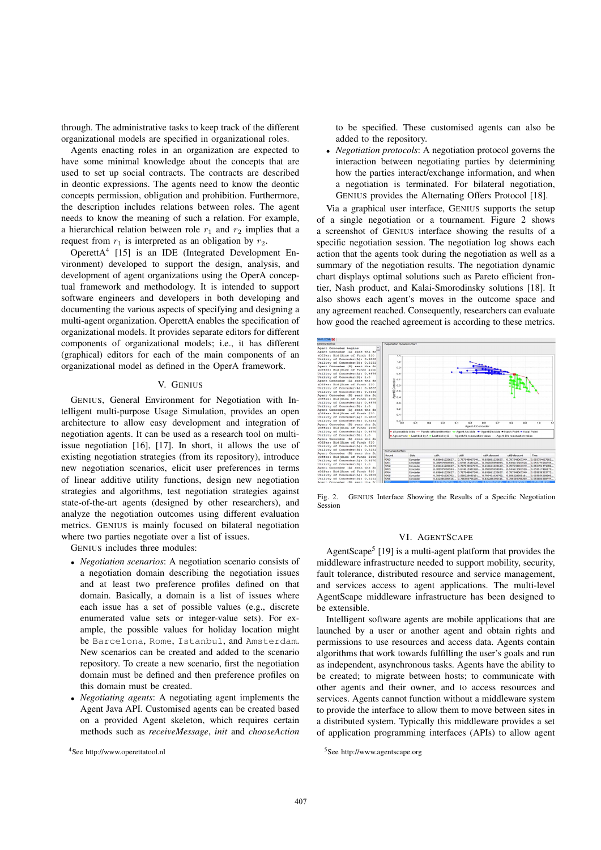through. The administrative tasks to keep track of the different organizational models are specified in organizational roles.

Agents enacting roles in an organization are expected to have some minimal knowledge about the concepts that are used to set up social contracts. The contracts are described in deontic expressions. The agents need to know the deontic concepts permission, obligation and prohibition. Furthermore, the description includes relations between roles. The agent needs to know the meaning of such a relation. For example, a hierarchical relation between role  $r_1$  and  $r_2$  implies that a request from  $r_1$  is interpreted as an obligation by  $r_2$ .

Operett $A<sup>4</sup>$  [15] is an IDE (Integrated Development Environment) developed to support the design, analysis, and development of agent organizations using the OperA conceptual framework and methodology. It is intended to support software engineers and developers in both developing and documenting the various aspects of specifying and designing a multi-agent organization. OperettA enables the specification of organizational models. It provides separate editors for different components of organizational models; i.e., it has different (graphical) editors for each of the main components of an organizational model as defined in the OperA framework.

## V. GENIUS

GENIUS, General Environment for Negotiation with Intelligent multi-purpose Usage Simulation, provides an open architecture to allow easy development and integration of negotiation agents. It can be used as a research tool on multiissue negotiation [16], [17]. In short, it allows the use of existing negotiation strategies (from its repository), introduce new negotiation scenarios, elicit user preferences in terms of linear additive utility functions, design new negotiation strategies and algorithms, test negotiation strategies against state-of-the-art agents (designed by other researchers), and analyze the negotiation outcomes using different evaluation metrics. GENIUS is mainly focused on bilateral negotiation where two parties negotiate over a list of issues.

GENIUS includes three modules:

- *Negotiation scenarios*: A negotiation scenario consists of a negotiation domain describing the negotiation issues and at least two preference profiles defined on that domain. Basically, a domain is a list of issues where each issue has a set of possible values (e.g., discrete enumerated value sets or integer-value sets). For example, the possible values for holiday location might be Barcelona, Rome, Istanbul, and Amsterdam. New scenarios can be created and added to the scenario repository. To create a new scenario, first the negotiation domain must be defined and then preference profiles on this domain must be created.
- *Negotiating agents*: A negotiating agent implements the Agent Java API. Customised agents can be created based on a provided Agent skeleton, which requires certain methods such as *receiveMessage*, *init* and *chooseAction*

to be specified. These customised agents can also be added to the repository.

• *Negotiation protocols*: A negotiation protocol governs the interaction between negotiating parties by determining how the parties interact/exchange information, and when a negotiation is terminated. For bilateral negotiation, GENIUS provides the Alternating Offers Protocol [18].

Via a graphical user interface, GENIUS supports the setup of a single negotiation or a tournament. Figure 2 shows a screenshot of GENIUS interface showing the results of a specific negotiation session. The negotiation log shows each action that the agents took during the negotiation as well as a summary of the negotiation results. The negotiation dynamic chart displays optimal solutions such as Pareto efficient frontier, Nash product, and Kalai-Smorodinsky solutions [18]. It also shows each agent's moves in the outcome space and any agreement reached. Consequently, researchers can evaluate how good the reached agreement is according to these metrics.



Fig. 2. GENIUS Interface Showing the Results of a Specific Negotiation Session

#### VI. AGENTSCAPE

AgentScape<sup>5</sup> [19] is a multi-agent platform that provides the middleware infrastructure needed to support mobility, security, fault tolerance, distributed resource and service management, and services access to agent applications. The multi-level AgentScape middleware infrastructure has been designed to be extensible.

Intelligent software agents are mobile applications that are launched by a user or another agent and obtain rights and permissions to use resources and access data. Agents contain algorithms that work towards fulfilling the user's goals and run as independent, asynchronous tasks. Agents have the ability to be created; to migrate between hosts; to communicate with other agents and their owner, and to access resources and services. Agents cannot function without a middleware system to provide the interface to allow them to move between sites in a distributed system. Typically this middleware provides a set of application programming interfaces (APIs) to allow agent

<sup>4</sup>See http://www.operettatool.nl

<sup>5</sup>See http://www.agentscape.org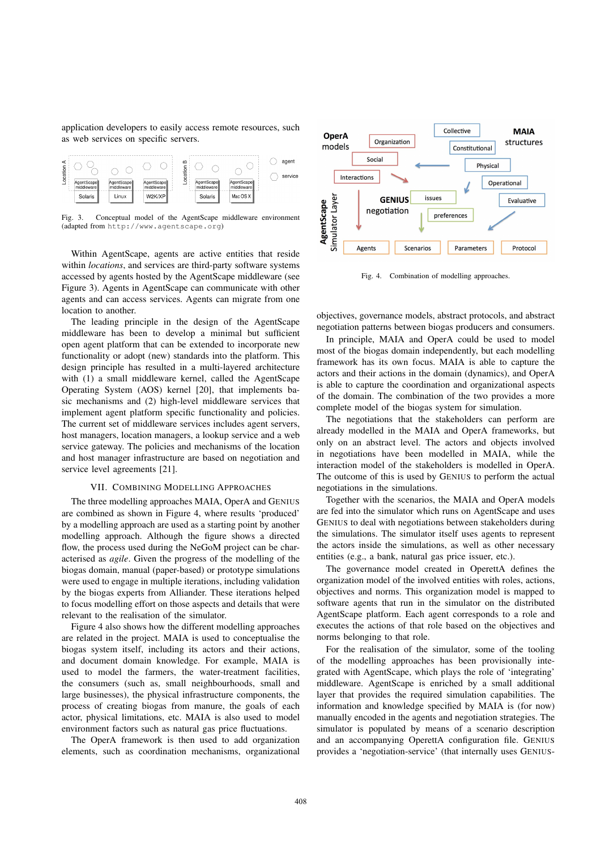application developers to easily access remote resources, such as web services on specific servers.



Fig. 3. Conceptual model of the AgentScape middleware environment (adapted from http://www.agentscape.org)

Within AgentScape, agents are active entities that reside within *locations*, and services are third-party software systems accessed by agents hosted by the AgentScape middleware (see Figure 3). Agents in AgentScape can communicate with other agents and can access services. Agents can migrate from one location to another.

The leading principle in the design of the AgentScape middleware has been to develop a minimal but sufficient open agent platform that can be extended to incorporate new functionality or adopt (new) standards into the platform. This design principle has resulted in a multi-layered architecture with (1) a small middleware kernel, called the AgentScape Operating System (AOS) kernel [20], that implements basic mechanisms and (2) high-level middleware services that implement agent platform specific functionality and policies. The current set of middleware services includes agent servers, host managers, location managers, a lookup service and a web service gateway. The policies and mechanisms of the location and host manager infrastructure are based on negotiation and service level agreements [21].

## VII. COMBINING MODELLING APPROACHES

The three modelling approaches MAIA, OperA and GENIUS are combined as shown in Figure 4, where results 'produced' by a modelling approach are used as a starting point by another modelling approach. Although the figure shows a directed flow, the process used during the NeGoM project can be characterised as *agile*. Given the progress of the modelling of the biogas domain, manual (paper-based) or prototype simulations were used to engage in multiple iterations, including validation by the biogas experts from Alliander. These iterations helped to focus modelling effort on those aspects and details that were relevant to the realisation of the simulator.

Figure 4 also shows how the different modelling approaches are related in the project. MAIA is used to conceptualise the biogas system itself, including its actors and their actions, and document domain knowledge. For example, MAIA is used to model the farmers, the water-treatment facilities, the consumers (such as, small neighbourhoods, small and large businesses), the physical infrastructure components, the process of creating biogas from manure, the goals of each actor, physical limitations, etc. MAIA is also used to model environment factors such as natural gas price fluctuations.

The OperA framework is then used to add organization elements, such as coordination mechanisms, organizational



Fig. 4. Combination of modelling approaches.

objectives, governance models, abstract protocols, and abstract negotiation patterns between biogas producers and consumers.

In principle, MAIA and OperA could be used to model most of the biogas domain independently, but each modelling framework has its own focus. MAIA is able to capture the actors and their actions in the domain (dynamics), and OperA is able to capture the coordination and organizational aspects of the domain. The combination of the two provides a more complete model of the biogas system for simulation.

The negotiations that the stakeholders can perform are already modelled in the MAIA and OperA frameworks, but only on an abstract level. The actors and objects involved in negotiations have been modelled in MAIA, while the interaction model of the stakeholders is modelled in OperA. The outcome of this is used by GENIUS to perform the actual negotiations in the simulations.

Together with the scenarios, the MAIA and OperA models are fed into the simulator which runs on AgentScape and uses GENIUS to deal with negotiations between stakeholders during the simulations. The simulator itself uses agents to represent the actors inside the simulations, as well as other necessary entities (e.g., a bank, natural gas price issuer, etc.).

The governance model created in OperettA defines the organization model of the involved entities with roles, actions, objectives and norms. This organization model is mapped to software agents that run in the simulator on the distributed AgentScape platform. Each agent corresponds to a role and executes the actions of that role based on the objectives and norms belonging to that role.

For the realisation of the simulator, some of the tooling of the modelling approaches has been provisionally integrated with AgentScape, which plays the role of 'integrating' middleware. AgentScape is enriched by a small additional layer that provides the required simulation capabilities. The information and knowledge specified by MAIA is (for now) manually encoded in the agents and negotiation strategies. The simulator is populated by means of a scenario description and an accompanying OperettA configuration file. GENIUS provides a 'negotiation-service' (that internally uses GENIUS-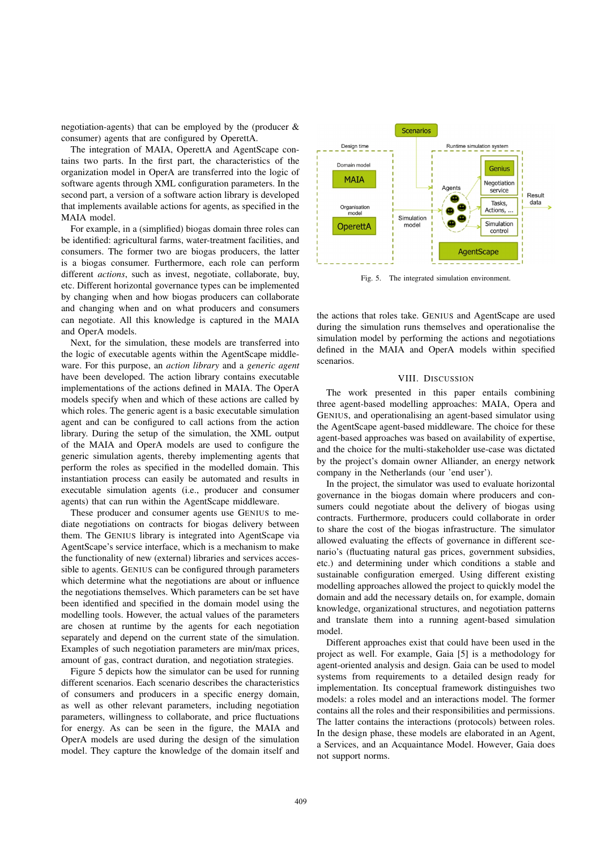negotiation-agents) that can be employed by the (producer & consumer) agents that are configured by OperettA.

The integration of MAIA, OperettA and AgentScape contains two parts. In the first part, the characteristics of the organization model in OperA are transferred into the logic of software agents through XML configuration parameters. In the second part, a version of a software action library is developed that implements available actions for agents, as specified in the MAIA model.

For example, in a (simplified) biogas domain three roles can be identified: agricultural farms, water-treatment facilities, and consumers. The former two are biogas producers, the latter is a biogas consumer. Furthermore, each role can perform different *actions*, such as invest, negotiate, collaborate, buy, etc. Different horizontal governance types can be implemented by changing when and how biogas producers can collaborate and changing when and on what producers and consumers can negotiate. All this knowledge is captured in the MAIA and OperA models.

Next, for the simulation, these models are transferred into the logic of executable agents within the AgentScape middleware. For this purpose, an *action library* and a *generic agent* have been developed. The action library contains executable implementations of the actions defined in MAIA. The OperA models specify when and which of these actions are called by which roles. The generic agent is a basic executable simulation agent and can be configured to call actions from the action library. During the setup of the simulation, the XML output of the MAIA and OperA models are used to configure the generic simulation agents, thereby implementing agents that perform the roles as specified in the modelled domain. This instantiation process can easily be automated and results in executable simulation agents (i.e., producer and consumer agents) that can run within the AgentScape middleware.

These producer and consumer agents use GENIUS to mediate negotiations on contracts for biogas delivery between them. The GENIUS library is integrated into AgentScape via AgentScape's service interface, which is a mechanism to make the functionality of new (external) libraries and services accessible to agents. GENIUS can be configured through parameters which determine what the negotiations are about or influence the negotiations themselves. Which parameters can be set have been identified and specified in the domain model using the modelling tools. However, the actual values of the parameters are chosen at runtime by the agents for each negotiation separately and depend on the current state of the simulation. Examples of such negotiation parameters are min/max prices, amount of gas, contract duration, and negotiation strategies.

Figure 5 depicts how the simulator can be used for running different scenarios. Each scenario describes the characteristics of consumers and producers in a specific energy domain, as well as other relevant parameters, including negotiation parameters, willingness to collaborate, and price fluctuations for energy. As can be seen in the figure, the MAIA and OperA models are used during the design of the simulation model. They capture the knowledge of the domain itself and



Fig. 5. The integrated simulation environment.

the actions that roles take. GENIUS and AgentScape are used during the simulation runs themselves and operationalise the simulation model by performing the actions and negotiations defined in the MAIA and OperA models within specified scenarios.

## VIII. DISCUSSION

The work presented in this paper entails combining three agent-based modelling approaches: MAIA, Opera and GENIUS, and operationalising an agent-based simulator using the AgentScape agent-based middleware. The choice for these agent-based approaches was based on availability of expertise, and the choice for the multi-stakeholder use-case was dictated by the project's domain owner Alliander, an energy network company in the Netherlands (our 'end user').

In the project, the simulator was used to evaluate horizontal governance in the biogas domain where producers and consumers could negotiate about the delivery of biogas using contracts. Furthermore, producers could collaborate in order to share the cost of the biogas infrastructure. The simulator allowed evaluating the effects of governance in different scenario's (fluctuating natural gas prices, government subsidies, etc.) and determining under which conditions a stable and sustainable configuration emerged. Using different existing modelling approaches allowed the project to quickly model the domain and add the necessary details on, for example, domain knowledge, organizational structures, and negotiation patterns and translate them into a running agent-based simulation model.

Different approaches exist that could have been used in the project as well. For example, Gaia [5] is a methodology for agent-oriented analysis and design. Gaia can be used to model systems from requirements to a detailed design ready for implementation. Its conceptual framework distinguishes two models: a roles model and an interactions model. The former contains all the roles and their responsibilities and permissions. The latter contains the interactions (protocols) between roles. In the design phase, these models are elaborated in an Agent, a Services, and an Acquaintance Model. However, Gaia does not support norms.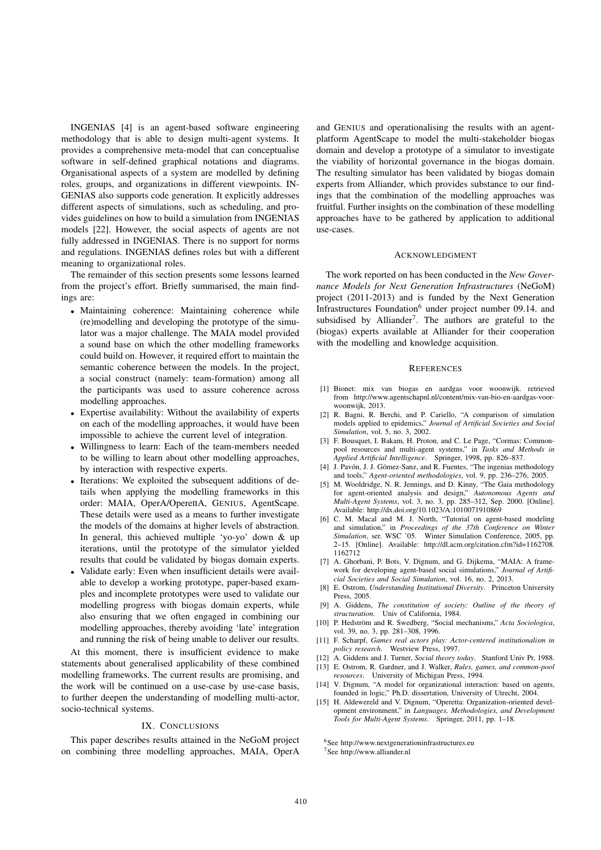INGENIAS [4] is an agent-based software engineering methodology that is able to design multi-agent systems. It provides a comprehensive meta-model that can conceptualise software in self-defined graphical notations and diagrams. Organisational aspects of a system are modelled by defining roles, groups, and organizations in different viewpoints. IN-GENIAS also supports code generation. It explicitly addresses different aspects of simulations, such as scheduling, and provides guidelines on how to build a simulation from INGENIAS models [22]. However, the social aspects of agents are not fully addressed in INGENIAS. There is no support for norms and regulations. INGENIAS defines roles but with a different meaning to organizational roles.

The remainder of this section presents some lessons learned from the project's effort. Briefly summarised, the main findings are:

- Maintaining coherence: Maintaining coherence while (re)modelling and developing the prototype of the simulator was a major challenge. The MAIA model provided a sound base on which the other modelling frameworks could build on. However, it required effort to maintain the semantic coherence between the models. In the project, a social construct (namely: team-formation) among all the participants was used to assure coherence across modelling approaches.
- Expertise availability: Without the availability of experts on each of the modelling approaches, it would have been impossible to achieve the current level of integration.
- Willingness to learn: Each of the team-members needed to be willing to learn about other modelling approaches, by interaction with respective experts.
- Iterations: We exploited the subsequent additions of details when applying the modelling frameworks in this order: MAIA, OperA/OperettA, GENIUS, AgentScape. These details were used as a means to further investigate the models of the domains at higher levels of abstraction. In general, this achieved multiple 'yo-yo' down & up iterations, until the prototype of the simulator yielded results that could be validated by biogas domain experts.
- Validate early: Even when insufficient details were available to develop a working prototype, paper-based examples and incomplete prototypes were used to validate our modelling progress with biogas domain experts, while also ensuring that we often engaged in combining our modelling approaches, thereby avoiding 'late' integration and running the risk of being unable to deliver our results.

At this moment, there is insufficient evidence to make statements about generalised applicability of these combined modelling frameworks. The current results are promising, and the work will be continued on a use-case by use-case basis, to further deepen the understanding of modelling multi-actor, socio-technical systems.

## IX. CONCLUSIONS

This paper describes results attained in the NeGoM project on combining three modelling approaches, MAIA, OperA and GENIUS and operationalising the results with an agentplatform AgentScape to model the multi-stakeholder biogas domain and develop a prototype of a simulator to investigate the viability of horizontal governance in the biogas domain. The resulting simulator has been validated by biogas domain experts from Alliander, which provides substance to our findings that the combination of the modelling approaches was fruitful. Further insights on the combination of these modelling approaches have to be gathered by application to additional use-cases.

#### ACKNOWLEDGMENT

The work reported on has been conducted in the *New Governance Models for Next Generation Infrastructures* (NeGoM) project (2011-2013) and is funded by the Next Generation Infrastructures Foundation $6$  under project number 09.14. and subsidised by Alliander<sup>7</sup>. The authors are grateful to the (biogas) experts available at Alliander for their cooperation with the modelling and knowledge acquisition.

### **REFERENCES**

- [1] Bionet: mix van biogas en aardgas voor woonwijk. retrieved from http://www.agentschapnl.nl/content/mix-van-bio-en-aardgas-voorwoonwijk, 2013.
- [2] R. Bagni, R. Berchi, and P. Cariello, "A comparison of simulation models applied to epidemics," *Journal of Artificial Societies and Social Simulation*, vol. 5, no. 3, 2002.
- [3] F. Bousquet, I. Bakam, H. Proton, and C. Le Page, "Cormas: Commonpool resources and multi-agent systems," in *Tasks and Methods in Applied Artificial Intelligence*. Springer, 1998, pp. 826–837.
- [4] J. Pavón, J. J. Gómez-Sanz, and R. Fuentes, "The ingenias methodology and tools," *Agent-oriented methodologies*, vol. 9, pp. 236–276, 2005.
- [5] M. Wooldridge, N. R. Jennings, and D. Kinny, "The Gaia methodology for agent-oriented analysis and design," *Autonomous Agents and Multi-Agent Systems*, vol. 3, no. 3, pp. 285–312, Sep. 2000. [Online]. Available: http://dx.doi.org/10.1023/A:1010071910869
- [6] C. M. Macal and M. J. North, "Tutorial on agent-based modeling and simulation," in *Proceedings of the 37th Conference on Winter Simulation*, ser. WSC '05. Winter Simulation Conference, 2005, pp. 2–15. [Online]. Available: http://dl.acm.org/citation.cfm?id=1162708. 1162712
- [7] A. Ghorbani, P. Bots, V. Dignum, and G. Dijkema, "MAIA: A framework for developing agent-based social simulations," *Journal of Artificial Societies and Social Simulation*, vol. 16, no. 2, 2013.
- [8] E. Ostrom, *Understanding Institutional Diversity*. Princeton University Press, 2005.
- [9] A. Giddens, *The constitution of society: Outline of the theory of structuration*. Univ of California, 1984.
- [10] P. Hedström and R. Swedberg, "Social mechanisms," *Acta Sociologica*, vol. 39, no. 3, pp. 281–308, 1996.
- [11] F. Scharpf, *Games real actors play: Actor-centered institutionalism in policy research*. Westview Press, 1997.
- [12] A. Giddens and J. Turner, *Social theory today*. Stanford Univ Pr, 1988.
- [13] E. Ostrom, R. Gardner, and J. Walker, *Rules, games, and common-pool resources*. University of Michigan Press, 1994.
- [14] V. Dignum, "A model for organizational interaction: based on agents, founded in logic," Ph.D. dissertation, University of Utrecht, 2004.
- [15] H. Aldewereld and V. Dignum, "Operetta: Organization-oriented development environment," in *Languages, Methodologies, and Development Tools for Multi-Agent Systems*. Springer, 2011, pp. 1–18.

6See http://www.nextgenerationinfrastructures.eu 7See http://www.alliander.nl